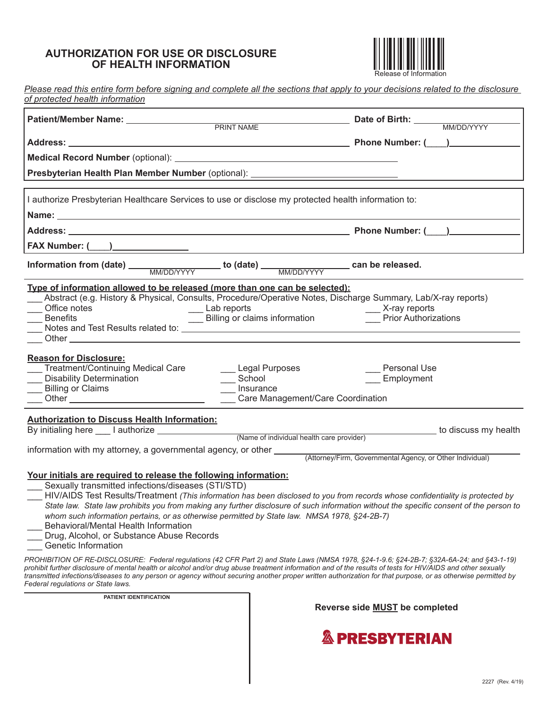## **AUTHORIZATION FOR USE OR DISCLOSURE OF HEALTH INFORMATION**



 **Patient/Member Name: Date of Birth:**  PRINT NAME MM/DD/YYYY Address: \_\_\_\_\_\_ *Please read this entire form before signing and complete all the sections that apply to your decisions related to the disclosure of protected health information*  **Address: Phone Number: (**\_\_\_\_**) Medical Record Number** (optional):

**Presbyterian Health Plan Member Number** (optional):

| I authorize Presbyterian Healthcare Services to use or disclose my protected health information to: |                        |
|-----------------------------------------------------------------------------------------------------|------------------------|
| Name:                                                                                               |                        |
| <b>Address:</b>                                                                                     | <b>Phone Number: (</b> |
| <b>FAX Number: (</b>                                                                                |                        |

Information from (date) \_\_\_\_\_\_\_\_\_\_\_\_\_\_\_\_\_\_\_ to (date) \_\_\_\_\_\_\_\_\_\_\_\_\_\_\_\_\_\_\_ can be released. MM/DD/YYYY MM/DD/YYYY

|              | Type of information allowed to be released (more than one can be selected):                                   |               |
|--------------|---------------------------------------------------------------------------------------------------------------|---------------|
|              | Abstract (e.g. History & Physical, Consults, Procedure/Operative Notes, Discharge Summary, Lab/X-ray reports) |               |
| Office notes | Lab reports                                                                                                   | X-ray reports |

| Benefits                           | Billing or claims information | <b>Prior Authorizations</b> |
|------------------------------------|-------------------------------|-----------------------------|
| Notes and Test Results related to: |                               |                             |
| วthe၊                              |                               |                             |

#### **Reason for Disclosure:**

| Treatment/Continuing Medical Care<br><b>Disability Determination</b> | Legal Purposes<br>School                       | Personal Use<br>Employment |  |
|----------------------------------------------------------------------|------------------------------------------------|----------------------------|--|
| Billing or Claims<br>Other                                           | Insurance<br>Care Management/Care Coordination |                            |  |
| <b>Authorization to Discuss Health Information:</b>                  |                                                |                            |  |

By initialing here \_\_\_ I authorize to discuss my health

(Name of individual health care provider)

information with my attorney, a governmental agency, or other

(Attorney/Firm, Governmental Agency, or Other Individual)

### **Your initials are required to release the following information:**

Sexually transmitted infections/diseases (STI/STD)

\_\_\_ HIV/AIDS Test Results/Treatment *(This information has been disclosed to you from records whose confidentiality is protected by State law. State law prohibits you from making any further disclosure of such information without the specific consent of the person to whom such information pertains, or as otherwise permitted by State law. NMSA 1978, §24-2B-7)*  \_\_\_ Behavioral/Mental Health Information

- Drug, Alcohol, or Substance Abuse Records
- Genetic Information

*PROHIBITION OF RE-DISCLOSURE: Federal regulations (42 CFR Part 2) and State Laws (NMSA 1978, §24-1-9.6; §24-2B-7; §32A-6A-24; and §43-1-19) prohibit further disclosure of mental health or alcohol and/or drug abuse treatment information and of the results of tests for HIV/AIDS and other sexually transmitted infections/diseases to any person or agency without securing another proper written authorization for that purpose, or as otherwise permitted by Federal regulations or State laws.* 

**PATIENT IDENTIFICATION** 

**Reverse side MUST be completed**